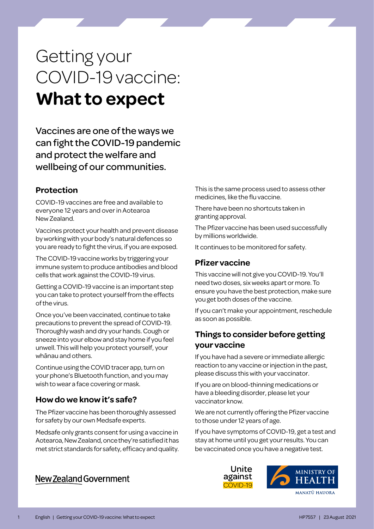# Getting your COVID-19 vaccine: **What to expect**

Vaccines are one of the ways we can fight the COVID-19 pandemic and protect the welfare and wellbeing of our communities.

## **Protection**

COVID-19 vaccines are free and available to everyone 12 years and over in Aotearoa New Zealand.

Vaccines protect your health and prevent disease by working with your body's natural defences so you are ready to fight the virus, if you are exposed.

The COVID-19 vaccine works by triggering your immune system to produce antibodies and blood cells that work against the COVID-19 virus.

Getting a COVID-19 vaccine is an important step you can take to protect yourself from the effects of the virus.

Once you've been vaccinated, continue to take precautions to prevent the spread of COVID-19. Thoroughly wash and dry your hands. Cough or sneeze into your elbow and stay home if you feel unwell. This will help you protect yourself, your whānau and others.

Continue using the COVID tracer app, turn on your phone's Bluetooth function, and you may wish to wear a face covering or mask.

## **How do we know it's safe?**

The Pfizer vaccine has been thoroughly assessed for safety by our own Medsafe experts.

Medsafe only grants consent for using a vaccine in Aotearoa, New Zealand, once they're satisfied it has met strict standards for safety, efficacy and quality.

New Zealand Government

This is the same process used to assess other medicines, like the flu vaccine.

There have been no shortcuts taken in granting approval.

The Pfizer vaccine has been used successfully by millions worldwide.

It continues to be monitored for safety.

## **Pfizer vaccine**

This vaccine will not give you COVID-19. You'll need two doses, six weeks apart or more. To ensure you have the best protection, make sure you get both doses of the vaccine.

If you can't make your appointment, reschedule as soon as possible.

# **Things to consider before getting your vaccine**

If you have had a severe or immediate allergic reaction to any vaccine or injection in the past, please discuss this with your vaccinator.

If you are on blood-thinning medications or have a bleeding disorder, please let your vaccinator know.

We are not currently offering the Pfizer vaccine to those under 12 years of age.

If you have symptoms of COVID-19, get a test and stay at home until you get your results. You can be vaccinated once you have a negative test.